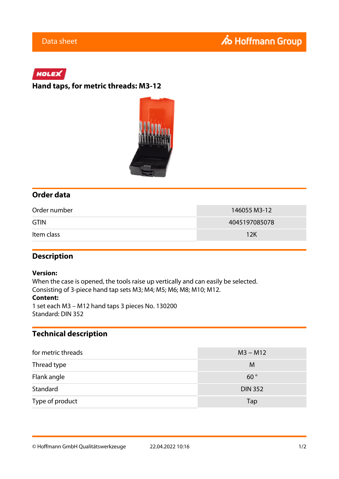# HOLEX

### **Hand taps, for metric threads: M3-12**



### **Order data**

| Order number | 146055 M3-12  |
|--------------|---------------|
| <b>GTIN</b>  | 4045197085078 |
| Item class   | 12K           |

### **Description**

#### **Version:**

When the case is opened, the tools raise up vertically and can easily be selected. Consisting of 3-piece hand tap sets M3; M4; M5; M6; M8; M10; M12.

#### **Content:**

1 set each M3 – M12 hand taps 3 pieces No. 130200 Standard: DIN 352

## **Technical description**

| for metric threads | $M3 - M12$     |
|--------------------|----------------|
| Thread type        | M              |
| Flank angle        | $60^{\circ}$   |
| Standard           | <b>DIN 352</b> |
| Type of product    | Tap            |